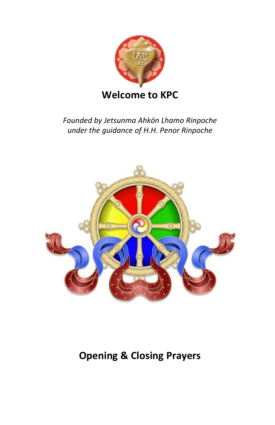

### *Founded by Jetsunma Ahkön Lhamo Rinpoche under the guidance of H.H. Penor Rinpoche*



# **Opening & Closing Prayers**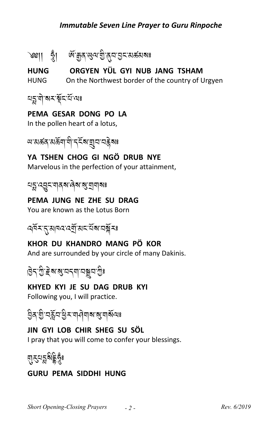### **Immutable Seven Line Prayer to Guru Rinpoche**

ORGYEN YÜL GYI NUB JANG TSHAM **HUNG** On the Northwest border of the country of Urgyen **HUNG** 

<u> নহ্নলীৰে ইন্</u>য়ন্ত্ৰ

### PEMA GESAR DONG PO LA

In the pollen heart of a lotus,

*আ* মৰ্ক্তন মৰ্ক্তনা দী'ন্<sup>তু</sup> ৰাষ্ট্ৰন'নক্ক্ৰীৰঃ

### YA TSHEN CHOG GI NGÖ DRUB NYE

Marvelous in the perfection of your attainment,

য়ৡৼ৻য়ৄৼৼঀয়য়৻ড়ৢ৻য়৻য়৸ড়

#### PEMA JUNG NE ZHE SU DRAG

You are known as the Lotus Born



KHOR DU KHANDRO MANG PÖ KOR And are surrounded by your circle of many Dakinis.

# ট্ৰিণ্ট্ৰ ইৰ্ম্ম্ভ্ৰেণ্ড বিষ্ণু বিষ্ণু বিষ্ণু বিষ্ণু বিষ্ণু বিষ্ণু বিষ্ণু বিষ্ণু বিষ্ণু বিষ্ণু বিষ্ণু বিষ্ণু ব<br>বিষ্ণু বিষ্ণু বিষ্ণু বিষ্ণু বিষ্ণু বিষ্ণু বিষ্ণু বিষ্ণু বিষ্ণু বিষ্ণু বিষ্ণু বিষ্ণু বিষ্ণু বিষ্ণু বিষ্ণু বিষ্

### KHYED KYI JE SU DAG DRUB KYI

Following you, I will practice.

### JIN GYI LOB CHIR SHEG SU SÖL

I pray that you will come to confer your blessings.

# য়ঽয়ঽঌৡৼ

### **GURU PEMA SIDDHI HUNG**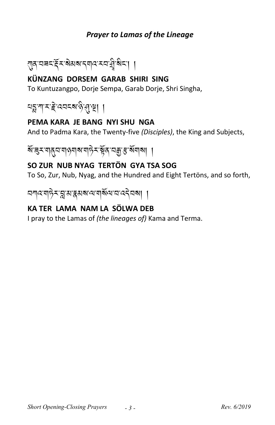### **Prayer to Lamas of the Lineage**



### KÜNZANG DORSEM GARAB SHIRI SING

To Kuntuzangpo, Dorje Sempa, Garab Dorje, Shri Singha,

ঘরু শামাই বেবহৰ উৰাস্থা ।

### PEMA KARA JE BANG NYI SHU NGA

And to Padma Kara, the Twenty-five (Disciples), the King and Subjects,

য়ৼয়৸য়ঢ়৸ঢ়৸ঢ়৸ঢ়৸ৼয়ঢ়৸ৼ<br>য়ৼয়য়য়৸ঢ়৸ড়য়ৼয়৾য়ৼয়৸ঢ়৸

### SO ZUR NUB NYAG TERTÖN GYA TSA SOG

To So, Zur, Nub, Nyag, and the Hundred and Eight Tertöns, and so forth,

নশ্বশ্পইম্মুম্যস্কুমৰ্মশেশৰ্মিশেন্বেইনৰা ।

### KA TER LAMA NAM LA SÖLWA DEB

I pray to the Lamas of (the lineages of) Kama and Terma.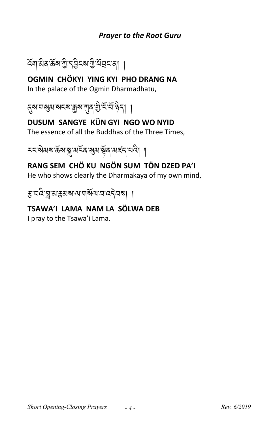### **Prayer to the Root Guru**



OGMIN CHÖKYI YING KYI PHO DRANG NA In the palace of the Ogmin Dharmadhatu,



## DUSUM SANGYE KÜN GYI NGO WO NYID

The essence of all the Buddhas of the Three Times,



# RANG SEM CHÖ KU NGÖN SUM TÖN DZED PA'I

He who shows clearly the Dharmakaya of my own mind,

ङ वर्द न्नु अङ्गयालय वर्षित वर्दनेवला ।

## TSAWA'I LAMA NAM LA SÖLWA DEB

I pray to the Tsawa'i Lama.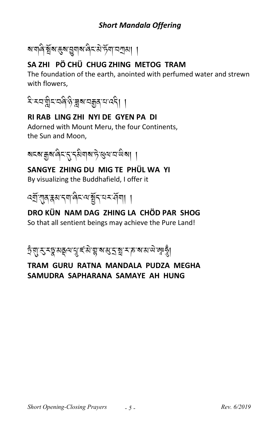### **Short Mandala Offering**

# ষ'শৰি'ৰ্ষ্ণৰ'ৰ্ষ্ণ'য়ুশৰ'ৰিম'ৰ্ষ'ৰ্ণ'মশ্ৰমা ।

### SA ZHI PÖ CHÜ CHUG ZHING METOG TRAM

The foundation of the earth, anointed with perfumed water and strewn with flowers.



### RI RAB LING ZHI NYI DE GYEN PA DI Adorned with Mount Meru, the four Continents. the Sun and Moon,

য়ৼ৶য়৽৻ড়ৼ৻ৼঀড়৸৸৸ৼঢ়৸

SANGYE ZHING DU MIG TE PHÜL WA YI By visualizing the Buddhafield, I offer it

# DRO KÜN NAM DAG ZHING LA CHÖD PAR SHOG

So that all sentient beings may achieve the Pure Land!

ঢ়ৼঀৢৗৼৢৼঽড়ৢয়ড়৻য়ৼৗৼ৻ড়ৢ৻য়৻ঌয়৸ড়৻ৼ৻ড়৻ড়৻ৼ৻ড়৻ড়৻ড়ৢয়৻

### TRAM GURU RATNA MANDALA PUDZA MEGHA SAMUDRA SAPHARANA SAMAYE AH HUNG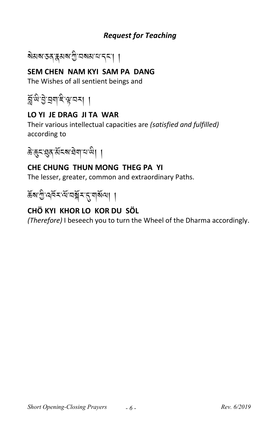### *Request for Teaching*

ৰ্ষমৰ স্বৰ স্বৰ প্ৰতি বিদ্যালয় <mark>(</mark>

### **SEM CHEN NAM KYI SAM PA DANG**

The Wishes of all sentient beings and

ম্ল্*ঞ্* এ় ব্রন্দ্র, প্রন্ন । A<br>A<br>A

### **LO YI JE DRAG JI TA WAR**

Their various intellectual capacities are *(satisfied and fulfilled)*  according to

 $\delta$ 'কুন'গ্ল্ক'ৰ্মনৰা অপ<sup>া</sup>য় ।

### **CHE CHUNG THUN MONG THEG PA YI**

The lesser, greater, common and extraordinary Paths.

ৰ্হুৰ'ট্ৰ'বৰ্মি-'ব্ৰম্বৰ্<sup>মৰ বি</sup>ৰি

### **CHÖ KYI KHOR LO KOR DU SÖL**

*(Therefore)* I beseech you to turn the Wheel of the Dharma accordingly.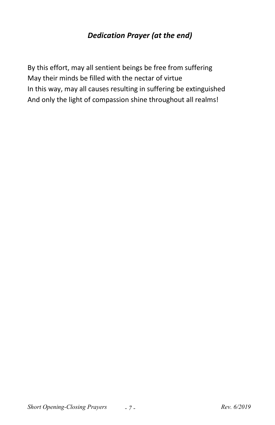### *Dedication Prayer (at the end)*

By this effort, may all sentient beings be free from suffering May their minds be filled with the nectar of virtue In this way, may all causes resulting in suffering be extinguished And only the light of compassion shine throughout all realms!